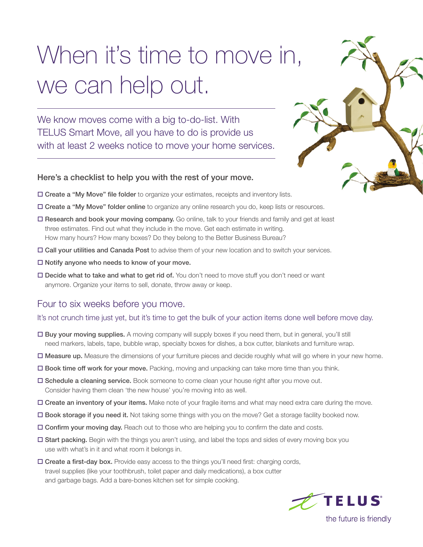# When it's time to move in, we can help out.

We know moves come with a big to-do-list. With TELUS Smart Move, all you have to do is provide us with at least 2 weeks notice to move your home services.

### Here's a checklist to help you with the rest of your move.

- Create a "My Move" file folder to organize your estimates, receipts and inventory lists.
- Create a "My Move" folder online to organize any online research you do, keep lists or resources.
- □ Research and book your moving company. Go online, talk to your friends and family and get at least three estimates. Find out what they include in the move. Get each estimate in writing. How many hours? How many boxes? Do they belong to the Better Business Bureau?
- Call your utilities and Canada Post to advise them of your new location and to switch your services.
- $\square$  Notify anyone who needs to know of your move.
- Decide what to take and what to get rid of. You don't need to move stuff you don't need or want anymore. Organize your items to sell, donate, throw away or keep.

## Four to six weeks before you move.

#### It's not crunch time just yet, but it's time to get the bulk of your action items done well before move day.

- Buy your moving supplies. A moving company will supply boxes if you need them, but in general, you'll still need markers, labels, tape, bubble wrap, specialty boxes for dishes, a box cutter, blankets and furniture wrap.
- Measure up. Measure the dimensions of your furniture pieces and decide roughly what will go where in your new home.
- □ Book time off work for your move. Packing, moving and unpacking can take more time than you think.
- $\square$  Schedule a cleaning service. Book someone to come clean your house right after you move out. Consider having them clean 'the new house' you're moving into as well.
- Create an inventory of your items. Make note of your fragile items and what may need extra care during the move.
- Book storage if you need it. Not taking some things with you on the move? Get a storage facility booked now.
- Confirm your moving day. Reach out to those who are helping you to confirm the date and costs.
- □ Start packing. Begin with the things you aren't using, and label the tops and sides of every moving box you use with what's in it and what room it belongs in.
- $\Box$  Create a first-day box. Provide easy access to the things you'll need first: charging cords, travel supplies (like your toothbrush, toilet paper and daily medications), a box cutter and garbage bags. Add a bare-bones kitchen set for simple cooking.



the future is friendly